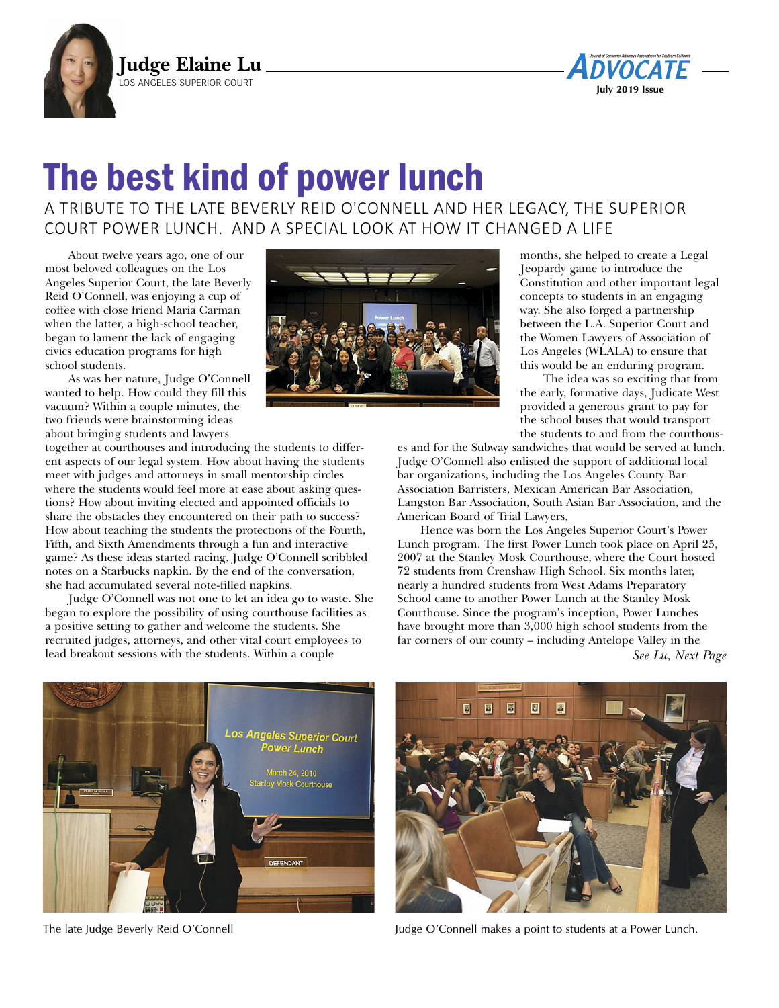



## The best kind of power lunch

A TRIBUTE TO THE LATE BEVERLY REID O'CONNELL AND HER LEGACY, THE SUPERIOR COURT POWER LUNCH. AND A SPECIAL LOOK AT HOW IT CHANGED A LIFE

About twelve years ago, one of our most beloved colleagues on the Los Angeles Superior Court, the late Beverly Reid O'Connell, was enjoying a cup of coffee with close friend Maria Carman when the latter, a high-school teacher, began to lament the lack of engaging civics education programs for high school students.

As was her nature, Judge O'Connell wanted to help. How could they fill this vacuum? Within a couple minutes, the two friends were brainstorming ideas about bringing students and lawyers

together at courthouses and introducing the students to different aspects of our legal system. How about having the students meet with judges and attorneys in small mentorship circles where the students would feel more at ease about asking questions? How about inviting elected and appointed officials to share the obstacles they encountered on their path to success? How about teaching the students the protections of the Fourth, Fifth, and Sixth Amendments through a fun and interactive game? As these ideas started racing, Judge O'Connell scribbled notes on a Starbucks napkin. By the end of the conversation, she had accumulated several note-filled napkins.

Judge O'Connell was not one to let an idea go to waste. She began to explore the possibility of using courthouse facilities as a positive setting to gather and welcome the students. She recruited judges, attorneys, and other vital court employees to lead breakout sessions with the students. Within a couple



months, she helped to create a Legal Jeopardy game to introduce the Constitution and other important legal concepts to students in an engaging way. She also forged a partnership between the L.A. Superior Court and the Women Lawyers of Association of Los Angeles (WLALA) to ensure that this would be an enduring program.

The idea was so exciting that from the early, formative days, Judicate West provided a generous grant to pay for the school buses that would transport the students to and from the courthous-

es and for the Subway sandwiches that would be served at lunch. Judge O'Connell also enlisted the support of additional local bar organizations, including the Los Angeles County Bar Association Barristers, Mexican American Bar Association, Langston Bar Association, South Asian Bar Association, and the American Board of Trial Lawyers,

Hence was born the Los Angeles Superior Court's Power Lunch program. The first Power Lunch took place on April 25, 2007 at the Stanley Mosk Courthouse, where the Court hosted 72 students from Crenshaw High School. Six months later, nearly a hundred students from West Adams Preparatory School came to another Power Lunch at the Stanley Mosk Courthouse. Since the program's inception, Power Lunches have brought more than 3,000 high school students from the far corners of our county – including Antelope Valley in the *See Lu, Next Page*





The late Judge Beverly Reid O'Connell Judge O'Connell makes a point to students at a Power Lunch.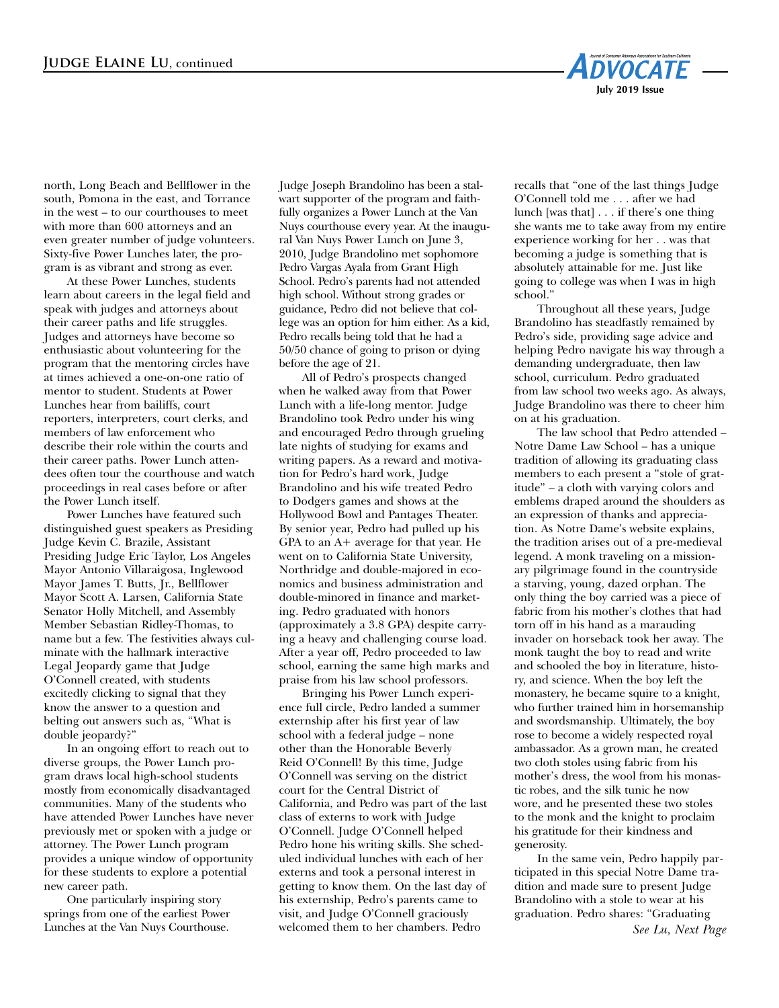

north, Long Beach and Bellflower in the south, Pomona in the east, and Torrance in the west – to our courthouses to meet with more than 600 attorneys and an even greater number of judge volunteers. Sixty-five Power Lunches later, the program is as vibrant and strong as ever.

At these Power Lunches, students learn about careers in the legal field and speak with judges and attorneys about their career paths and life struggles. Judges and attorneys have become so enthusiastic about volunteering for the program that the mentoring circles have at times achieved a one-on-one ratio of mentor to student. Students at Power Lunches hear from bailiffs, court reporters, interpreters, court clerks, and members of law enforcement who describe their role within the courts and their career paths. Power Lunch attendees often tour the courthouse and watch proceedings in real cases before or after the Power Lunch itself.

Power Lunches have featured such distinguished guest speakers as Presiding Judge Kevin C. Brazile, Assistant Presiding Judge Eric Taylor, Los Angeles Mayor Antonio Villaraigosa, Inglewood Mayor James T. Butts, Jr., Bellflower Mayor Scott A. Larsen, California State Senator Holly Mitchell, and Assembly Member Sebastian Ridley-Thomas, to name but a few. The festivities always culminate with the hallmark interactive Legal Jeopardy game that Judge O'Connell created, with students excitedly clicking to signal that they know the answer to a question and belting out answers such as, "What is double jeopardy?"

In an ongoing effort to reach out to diverse groups, the Power Lunch program draws local high-school students mostly from economically disadvantaged communities. Many of the students who have attended Power Lunches have never previously met or spoken with a judge or attorney. The Power Lunch program provides a unique window of opportunity for these students to explore a potential new career path.

One particularly inspiring story springs from one of the earliest Power Lunches at the Van Nuys Courthouse.

Judge Joseph Brandolino has been a stalwart supporter of the program and faithfully organizes a Power Lunch at the Van Nuys courthouse every year. At the inaugural Van Nuys Power Lunch on June 3, 2010, Judge Brandolino met sophomore Pedro Vargas Ayala from Grant High School. Pedro's parents had not attended high school. Without strong grades or guidance, Pedro did not believe that college was an option for him either. As a kid, Pedro recalls being told that he had a 50/50 chance of going to prison or dying before the age of 21.

All of Pedro's prospects changed when he walked away from that Power Lunch with a life-long mentor. Judge Brandolino took Pedro under his wing and encouraged Pedro through grueling late nights of studying for exams and writing papers. As a reward and motivation for Pedro's hard work, Judge Brandolino and his wife treated Pedro to Dodgers games and shows at the Hollywood Bowl and Pantages Theater. By senior year, Pedro had pulled up his GPA to an A+ average for that year. He went on to California State University, Northridge and double-majored in economics and business administration and double-minored in finance and marketing. Pedro graduated with honors (approximately a 3.8 GPA) despite carrying a heavy and challenging course load. After a year off, Pedro proceeded to law school, earning the same high marks and praise from his law school professors.

Bringing his Power Lunch experience full circle, Pedro landed a summer externship after his first year of law school with a federal judge – none other than the Honorable Beverly Reid O'Connell! By this time, Judge O'Connell was serving on the district court for the Central District of California, and Pedro was part of the last class of externs to work with Judge O'Connell. Judge O'Connell helped Pedro hone his writing skills. She scheduled individual lunches with each of her externs and took a personal interest in getting to know them. On the last day of his externship, Pedro's parents came to visit, and Judge O'Connell graciously welcomed them to her chambers. Pedro

recalls that "one of the last things Judge O'Connell told me . . . after we had lunch [was that] . . . if there's one thing she wants me to take away from my entire experience working for her . . was that becoming a judge is something that is absolutely attainable for me. Just like going to college was when I was in high school."

Throughout all these years, Judge Brandolino has steadfastly remained by Pedro's side, providing sage advice and helping Pedro navigate his way through a demanding undergraduate, then law school, curriculum. Pedro graduated from law school two weeks ago. As always, Judge Brandolino was there to cheer him on at his graduation.

The law school that Pedro attended – Notre Dame Law School – has a unique tradition of allowing its graduating class members to each present a "stole of gratitude" – a cloth with varying colors and emblems draped around the shoulders as an expression of thanks and appreciation. As Notre Dame's website explains, the tradition arises out of a pre-medieval legend. A monk traveling on a missionary pilgrimage found in the countryside a starving, young, dazed orphan. The only thing the boy carried was a piece of fabric from his mother's clothes that had torn off in his hand as a marauding invader on horseback took her away. The monk taught the boy to read and write and schooled the boy in literature, history, and science. When the boy left the monastery, he became squire to a knight, who further trained him in horsemanship and swordsmanship. Ultimately, the boy rose to become a widely respected royal ambassador. As a grown man, he created two cloth stoles using fabric from his mother's dress, the wool from his monastic robes, and the silk tunic he now wore, and he presented these two stoles to the monk and the knight to proclaim his gratitude for their kindness and generosity.

In the same vein, Pedro happily participated in this special Notre Dame tradition and made sure to present Judge Brandolino with a stole to wear at his graduation. Pedro shares: "Graduating *See Lu, Next Page*